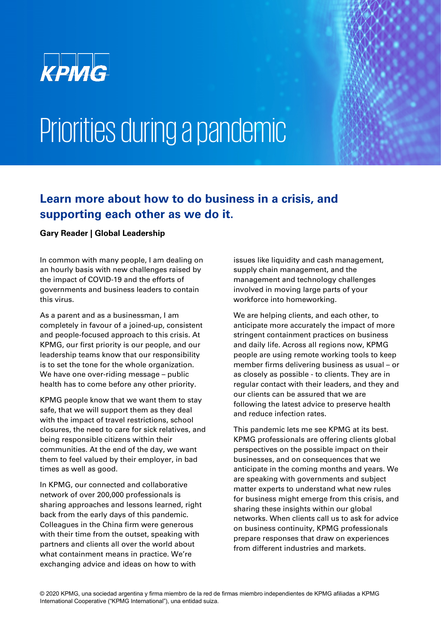

## Priorities during a pandemic

## **Learn more about how to do business in a crisis, and supporting each other as we do it.**

## **Gary Reader | Global Leadership**

In common with many people, I am dealing on an hourly basis with new challenges raised by the impact of COVID-19 and the efforts of governments and business leaders to contain this virus.

As a parent and as a businessman, I am completely in favour of a joined-up, consistent and people-focused approach to this crisis. At KPMG, our first priority is our people, and our leadership teams know that our responsibility is to set the tone for the whole organization. We have one over-riding message – public health has to come before any other priority.

KPMG people know that we want them to stay safe, that we will support them as they deal with the impact of travel restrictions, school closures, the need to care for sick relatives, and being responsible citizens within their communities. At the end of the day, we want them to feel valued by their employer, in bad times as well as good.

In KPMG, our connected and collaborative network of over 200,000 professionals is sharing approaches and lessons learned, right back from the early days of this pandemic. Colleagues in the China firm were generous with their time from the outset, speaking with partners and clients all over the world about what containment means in practice. We're exchanging advice and ideas on how to with

issues like liquidity and cash management, supply chain management, and the management and technology challenges involved in moving large parts of your workforce into homeworking.

We are helping clients, and each other, to anticipate more accurately the impact of more stringent containment practices on business and daily life. Across all regions now, KPMG people are using remote working tools to keep member firms delivering business as usual – or as closely as possible - to clients. They are in regular contact with their leaders, and they and our clients can be assured that we are following the latest advice to preserve health and reduce infection rates.

This pandemic lets me see KPMG at its best. KPMG professionals are offering clients global perspectives on the possible impact on their businesses, and on consequences that we anticipate in the coming months and years. We are speaking with governments and subject matter experts to understand what new rules for business might emerge from this crisis, and sharing these insights within our global networks. When clients call us to ask for advice on business continuity, KPMG professionals prepare responses that draw on experiences from different industries and markets.